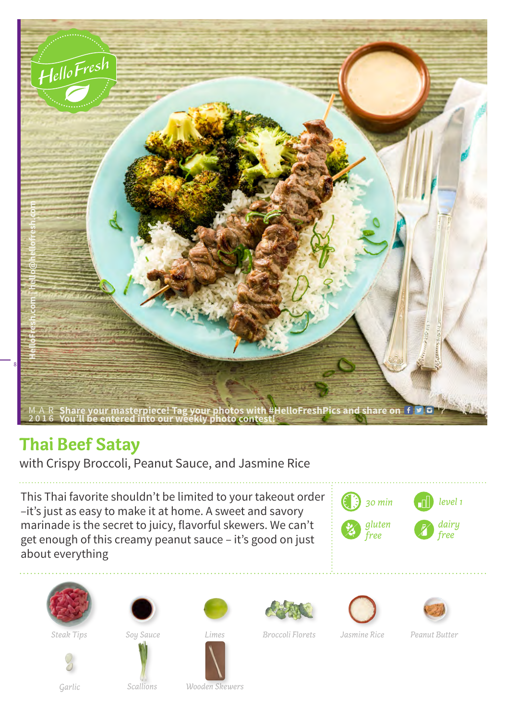

## **Thai Beef Satay**

with Crispy Broccoli, Peanut Sauce, and Jasmine Rice

This Thai favorite shouldn't be limited to your takeout order –it's just as easy to make it at home. A sweet and savory marinade is the secret to juicy, flavorful skewers. We can't get enough of this creamy peanut sauce – it's good on just about everything

















*Steak Tips Soy Sauce Broccoli Florets Peanut Butter*

*Scallions*

*Limes Jasmine Rice Garlic Wooden Skewers*